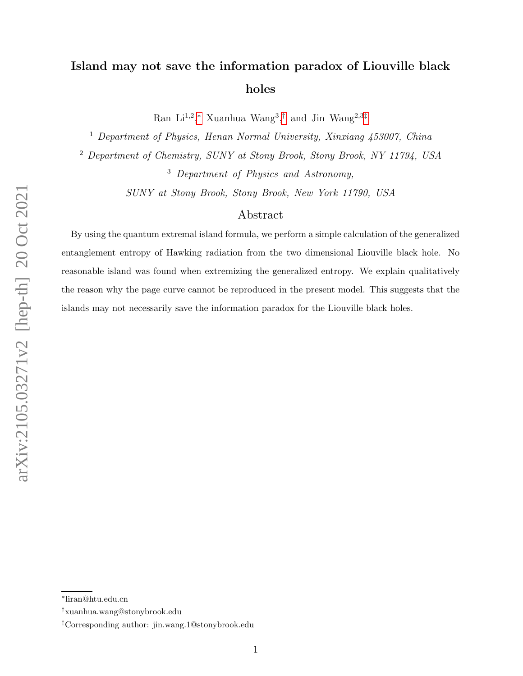# Island may not save the information paradox of Liouville black holes

Ran Li<sup>1,2</sup>,\* Xuanhua Wang<sup>3</sup>,<sup>[†](#page-0-1)</sup> and Jin Wang<sup>2,3[‡](#page-0-2)</sup>

<sup>1</sup> Department of Physics, Henan Normal University, Xinxiang 453007, China

<sup>2</sup> Department of Chemistry, SUNY at Stony Brook, Stony Brook, NY 11794, USA

<sup>3</sup> Department of Physics and Astronomy,

SUNY at Stony Brook, Stony Brook, New York 11790, USA

# Abstract

By using the quantum extremal island formula, we perform a simple calculation of the generalized entanglement entropy of Hawking radiation from the two dimensional Liouville black hole. No reasonable island was found when extremizing the generalized entropy. We explain qualitatively the reason why the page curve cannot be reproduced in the present model. This suggests that the islands may not necessarily save the information paradox for the Liouville black holes.

<span id="page-0-1"></span><span id="page-0-0"></span><sup>∗</sup> liran@htu.edu.cn

<span id="page-0-2"></span><sup>†</sup>xuanhua.wang@stonybrook.edu

<sup>‡</sup>Corresponding author: jin.wang.1@stonybrook.edu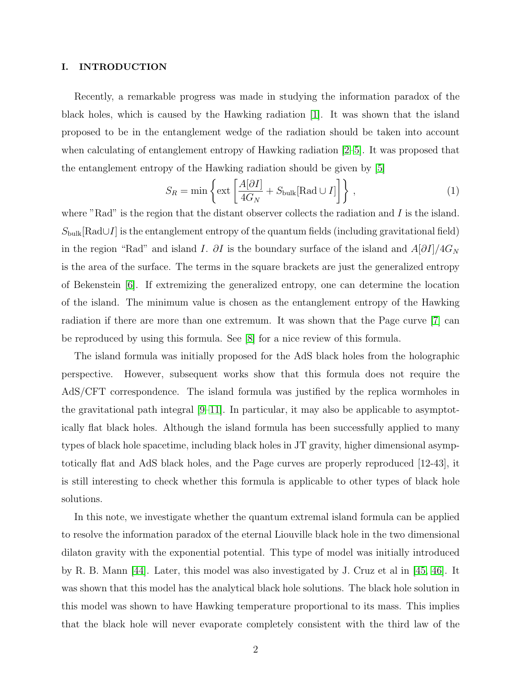## I. INTRODUCTION

Recently, a remarkable progress was made in studying the information paradox of the black holes, which is caused by the Hawking radiation [\[1\]](#page-13-0). It was shown that the island proposed to be in the entanglement wedge of the radiation should be taken into account when calculating of entanglement entropy of Hawking radiation [\[2–](#page-13-1)[5\]](#page-13-2). It was proposed that the entanglement entropy of the Hawking radiation should be given by [\[5\]](#page-13-2)

$$
S_R = \min \left\{ \text{ext} \left[ \frac{A[\partial I]}{4G_N} + S_{\text{bulk}}[\text{Rad} \cup I] \right] \right\},\tag{1}
$$

where "Rad" is the region that the distant observer collects the radiation and  $I$  is the island.  $S_{\text{bulk}}[\text{Rad}\cup I]$  is the entanglement entropy of the quantum fields (including gravitational field) in the region "Rad" and island I. ∂I is the boundary surface of the island and  $A[\partial I]/4G_N$ is the area of the surface. The terms in the square brackets are just the generalized entropy of Bekenstein [\[6\]](#page-13-3). If extremizing the generalized entropy, one can determine the location of the island. The minimum value is chosen as the entanglement entropy of the Hawking radiation if there are more than one extremum. It was shown that the Page curve [\[7\]](#page-13-4) can be reproduced by using this formula. See [\[8\]](#page-13-5) for a nice review of this formula.

The island formula was initially proposed for the AdS black holes from the holographic perspective. However, subsequent works show that this formula does not require the AdS/CFT correspondence. The island formula was justified by the replica wormholes in the gravitational path integral [\[9–](#page-13-6)[11\]](#page-14-0). In particular, it may also be applicable to asymptotically flat black holes. Although the island formula has been successfully applied to many types of black hole spacetime, including black holes in JT gravity, higher dimensional asymptotically flat and AdS black holes, and the Page curves are properly reproduced [12-43], it is still interesting to check whether this formula is applicable to other types of black hole solutions.

In this note, we investigate whether the quantum extremal island formula can be applied to resolve the information paradox of the eternal Liouville black hole in the two dimensional dilaton gravity with the exponential potential. This type of model was initially introduced by R. B. Mann [\[44\]](#page-15-0). Later, this model was also investigated by J. Cruz et al in [\[45,](#page-15-1) [46\]](#page-15-2). It was shown that this model has the analytical black hole solutions. The black hole solution in this model was shown to have Hawking temperature proportional to its mass. This implies that the black hole will never evaporate completely consistent with the third law of the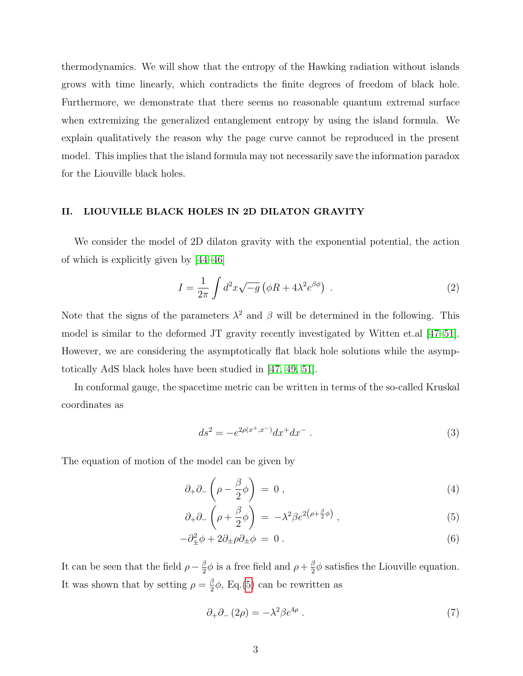thermodynamics. We will show that the entropy of the Hawking radiation without islands grows with time linearly, which contradicts the finite degrees of freedom of black hole. Furthermore, we demonstrate that there seems no reasonable quantum extremal surface when extremizing the generalized entanglement entropy by using the island formula. We explain qualitatively the reason why the page curve cannot be reproduced in the present model. This implies that the island formula may not necessarily save the information paradox for the Liouville black holes.

## II. LIOUVILLE BLACK HOLES IN 2D DILATON GRAVITY

We consider the model of 2D dilaton gravity with the exponential potential, the action of which is explicitly given by [\[44–](#page-15-0)[46\]](#page-15-2)

<span id="page-2-1"></span>
$$
I = \frac{1}{2\pi} \int d^2x \sqrt{-g} \left( \phi R + 4\lambda^2 e^{\beta \phi} \right) . \tag{2}
$$

Note that the signs of the parameters  $\lambda^2$  and  $\beta$  will be determined in the following. This model is similar to the deformed JT gravity recently investigated by Witten et.al [\[47–](#page-15-3)[51\]](#page-15-4). However, we are considering the asymptotically flat black hole solutions while the asymptotically AdS black holes have been studied in [\[47,](#page-15-3) [49,](#page-15-5) [51\]](#page-15-4).

In conformal gauge, the spacetime metric can be written in terms of the so-called Kruskal coordinates as

$$
ds^{2} = -e^{2\rho(x^{+}, x^{-})}dx^{+}dx^{-}.
$$
\n(3)

The equation of motion of the model can be given by

<span id="page-2-0"></span>
$$
\partial_+\partial_-\left(\rho-\frac{\beta}{2}\phi\right) = 0\,,\tag{4}
$$

$$
\partial_+\partial_-\left(\rho + \frac{\beta}{2}\phi\right) = -\lambda^2 \beta e^{2\left(\rho + \frac{\beta}{2}\phi\right)}\,,\tag{5}
$$

$$
-\partial_{\pm}^2 \phi + 2\partial_{\pm} \rho \partial_{\pm} \phi = 0.
$$
 (6)

It can be seen that the field  $\rho - \frac{\beta}{2}$  $\frac{\beta}{2}\phi$  is a free field and  $\rho + \frac{\beta}{2}$  $\frac{\beta}{2}\phi$  satisfies the Liouville equation. It was shown that by setting  $\rho = \frac{\beta}{2}$  $\frac{\beta}{2}\phi$ , Eq.[\(5\)](#page-2-0) can be rewritten as

$$
\partial_+ \partial_- (2\rho) = -\lambda^2 \beta e^{4\rho} \,. \tag{7}
$$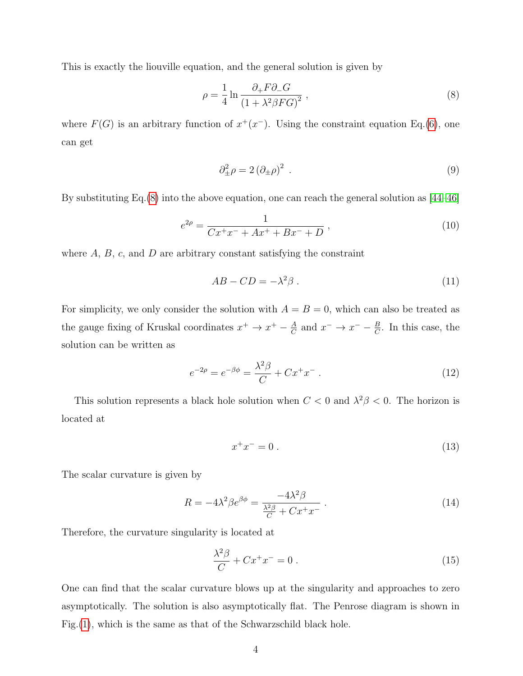This is exactly the liouville equation, and the general solution is given by

<span id="page-3-0"></span>
$$
\rho = \frac{1}{4} \ln \frac{\partial_+ F \partial_- G}{\left(1 + \lambda^2 \beta F G\right)^2} \,,\tag{8}
$$

where  $F(G)$  is an arbitrary function of  $x^+(x^-)$ . Using the constraint equation Eq.[\(6\)](#page-2-0), one can get

$$
\partial_{\pm}^2 \rho = 2 \left( \partial_{\pm} \rho \right)^2 \tag{9}
$$

By substituting Eq.[\(8\)](#page-3-0) into the above equation, one can reach the general solution as [\[44](#page-15-0)[–46\]](#page-15-2)

$$
e^{2\rho} = \frac{1}{Cx^+x^- + Ax^+ + Bx^- + D},
$$
\n(10)

where  $A, B, c$ , and  $D$  are arbitrary constant satisfying the constraint

$$
AB - CD = -\lambda^2 \beta \,. \tag{11}
$$

For simplicity, we only consider the solution with  $A = B = 0$ , which can also be treated as the gauge fixing of Kruskal coordinates  $x^+ \to x^+ - \frac{A}{C}$  $\frac{A}{C}$  and  $x^- \to x^- - \frac{B}{C}$  $\frac{B}{C}$ . In this case, the solution can be written as

<span id="page-3-1"></span>
$$
e^{-2\rho} = e^{-\beta\phi} = \frac{\lambda^2 \beta}{C} + C x^+ x^- \,. \tag{12}
$$

This solution represents a black hole solution when  $C < 0$  and  $\lambda^2 \beta < 0$ . The horizon is located at

$$
x^+x^- = 0.
$$
 (13)

The scalar curvature is given by

$$
R = -4\lambda^2 \beta e^{\beta \phi} = \frac{-4\lambda^2 \beta}{\frac{\lambda^2 \beta}{C} + C x^+ x^-} \,. \tag{14}
$$

Therefore, the curvature singularity is located at

$$
\frac{\lambda^2 \beta}{C} + C x^+ x^- = 0 \tag{15}
$$

One can find that the scalar curvature blows up at the singularity and approaches to zero asymptotically. The solution is also asymptotically flat. The Penrose diagram is shown in Fig.[\(1\)](#page-4-0), which is the same as that of the Schwarzschild black hole.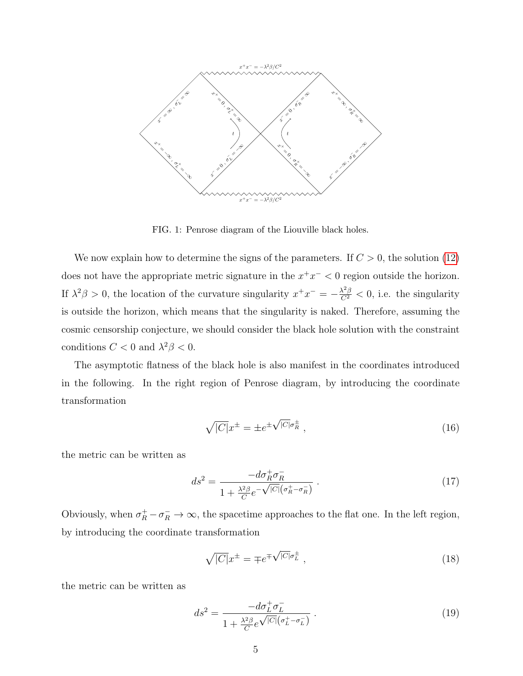

<span id="page-4-0"></span>FIG. 1: Penrose diagram of the Liouville black holes.

We now explain how to determine the signs of the parameters. If  $C > 0$ , the solution [\(12\)](#page-3-1) does not have the appropriate metric signature in the  $x^+x^- < 0$  region outside the horizon. If  $\lambda^2 \beta > 0$ , the location of the curvature singularity  $x^+ x^- = -\frac{\lambda^2 \beta}{C^2} < 0$ , i.e. the singularity is outside the horizon, which means that the singularity is naked. Therefore, assuming the cosmic censorship conjecture, we should consider the black hole solution with the constraint conditions  $C < 0$  and  $\lambda^2 \beta < 0$ .

The asymptotic flatness of the black hole is also manifest in the coordinates introduced in the following. In the right region of Penrose diagram, by introducing the coordinate transformation

$$
\sqrt{|C|}x^{\pm} = \pm e^{\pm \sqrt{|C|}\sigma_R^{\pm}}\,,\tag{16}
$$

the metric can be written as

<span id="page-4-1"></span>
$$
ds^2 = \frac{-d\sigma_R^+ \sigma_R^-}{1 + \frac{\lambda^2 \beta}{C} e^{-\sqrt{|C|} \left(\sigma_R^+ - \sigma_R^-\right)}}.
$$
\n(17)

Obviously, when  $\sigma_R^+ - \sigma_R^- \to \infty$ , the spacetime approaches to the flat one. In the left region, by introducing the coordinate transformation

$$
\sqrt{|C|}x^{\pm} = \mp e^{\mp\sqrt{|C|}\sigma_L^{\pm}}\,,\tag{18}
$$

the metric can be written as

$$
ds^{2} = \frac{-d\sigma_{L}^{+}\sigma_{L}^{-}}{1 + \frac{\lambda^{2}\beta}{C}e^{\sqrt{|C|}(\sigma_{L}^{+}-\sigma_{L}^{-})}}.
$$
\n(19)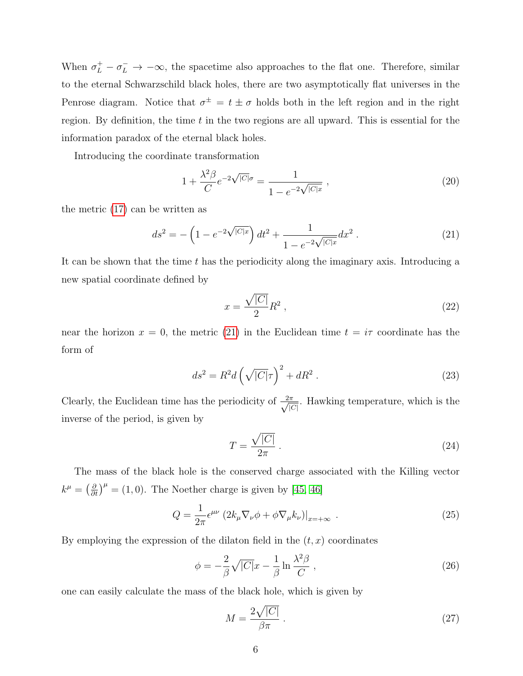When  $\sigma_L^+ - \sigma_L^- \to -\infty$ , the spacetime also approaches to the flat one. Therefore, similar to the eternal Schwarzschild black holes, there are two asymptotically flat universes in the Penrose diagram. Notice that  $\sigma^{\pm} = t \pm \sigma$  holds both in the left region and in the right region. By definition, the time  $t$  in the two regions are all upward. This is essential for the information paradox of the eternal black holes.

Introducing the coordinate transformation

$$
1 + \frac{\lambda^2 \beta}{C} e^{-2\sqrt{|C|}\sigma} = \frac{1}{1 - e^{-2\sqrt{|C|}x}} , \qquad (20)
$$

the metric [\(17\)](#page-4-1) can be written as

<span id="page-5-0"></span>
$$
ds^{2} = -\left(1 - e^{-2\sqrt{|C|x|}}\right)dt^{2} + \frac{1}{1 - e^{-2\sqrt{|C|x|}}}dx^{2}.
$$
 (21)

It can be shown that the time  $t$  has the periodicity along the imaginary axis. Introducing a new spatial coordinate defined by

$$
x = \frac{\sqrt{|C|}}{2}R^2\,,\tag{22}
$$

near the horizon  $x = 0$ , the metric [\(21\)](#page-5-0) in the Euclidean time  $t = i\tau$  coordinate has the form of

$$
ds^2 = R^2 d\left(\sqrt{|C|}\tau\right)^2 + dR^2.
$$
\n(23)

Clearly, the Euclidean time has the periodicity of  $\frac{2\pi}{\sqrt{R}}$  $\frac{\pi}{|C|}$ . Hawking temperature, which is the inverse of the period, is given by

$$
T = \frac{\sqrt{|C|}}{2\pi} \,. \tag{24}
$$

The mass of the black hole is the conserved charge associated with the Killing vector  $k^{\mu} = \left(\frac{\partial}{\partial t}\right)^{\mu} = (1,0)$ . The Noether charge is given by [\[45,](#page-15-1) [46\]](#page-15-2)

$$
Q = \frac{1}{2\pi} \epsilon^{\mu\nu} \left( 2k_{\mu} \nabla_{\nu} \phi + \phi \nabla_{\mu} k_{\nu} \right) \big|_{x = +\infty} \tag{25}
$$

By employing the expression of the dilaton field in the  $(t, x)$  coordinates

$$
\phi = -\frac{2}{\beta} \sqrt{|C|} x - \frac{1}{\beta} \ln \frac{\lambda^2 \beta}{C} , \qquad (26)
$$

one can easily calculate the mass of the black hole, which is given by

$$
M = \frac{2\sqrt{|C|}}{\beta \pi} \,. \tag{27}
$$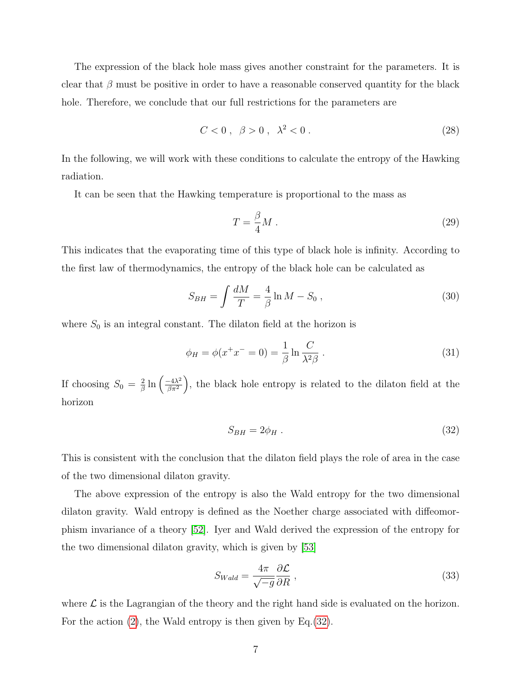The expression of the black hole mass gives another constraint for the parameters. It is clear that  $\beta$  must be positive in order to have a reasonable conserved quantity for the black hole. Therefore, we conclude that our full restrictions for the parameters are

<span id="page-6-1"></span>
$$
C < 0 \,, \, \beta > 0 \,, \, \lambda^2 < 0 \,. \tag{28}
$$

In the following, we will work with these conditions to calculate the entropy of the Hawking radiation.

It can be seen that the Hawking temperature is proportional to the mass as

$$
T = \frac{\beta}{4}M\ .
$$
 (29)

This indicates that the evaporating time of this type of black hole is infinity. According to the first law of thermodynamics, the entropy of the black hole can be calculated as

$$
S_{BH} = \int \frac{dM}{T} = \frac{4}{\beta} \ln M - S_0 , \qquad (30)
$$

where  $S_0$  is an integral constant. The dilaton field at the horizon is

$$
\phi_H = \phi(x^+ x^- = 0) = \frac{1}{\beta} \ln \frac{C}{\lambda^2 \beta} \,. \tag{31}
$$

If choosing  $S_0 = \frac{2}{\beta}$  $\frac{2}{\beta} \ln \left( \frac{-4\lambda^2}{\beta \pi^2} \right)$  $\left(\frac{-4\lambda^2}{\beta\pi^2}\right)$ , the black hole entropy is related to the dilaton field at the horizon

<span id="page-6-0"></span>
$$
S_{BH} = 2\phi_H \tag{32}
$$

This is consistent with the conclusion that the dilaton field plays the role of area in the case of the two dimensional dilaton gravity.

The above expression of the entropy is also the Wald entropy for the two dimensional dilaton gravity. Wald entropy is defined as the Noether charge associated with diffeomorphism invariance of a theory [\[52\]](#page-15-6). Iyer and Wald derived the expression of the entropy for the two dimensional dilaton gravity, which is given by [\[53\]](#page-15-7)

$$
S_{Wald} = \frac{4\pi}{\sqrt{-g}} \frac{\partial \mathcal{L}}{\partial R} \,, \tag{33}
$$

where  $\mathcal L$  is the Lagrangian of the theory and the right hand side is evaluated on the horizon. For the action [\(2\)](#page-2-1), the Wald entropy is then given by Eq.[\(32\)](#page-6-0).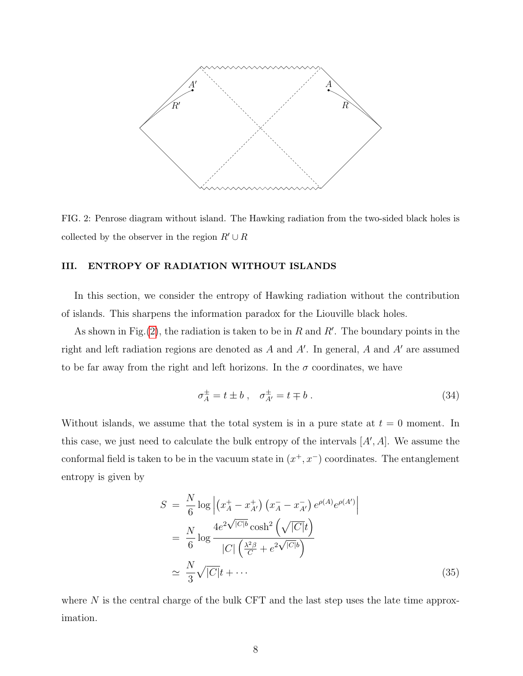

<span id="page-7-0"></span>FIG. 2: Penrose diagram without island. The Hawking radiation from the two-sided black holes is collected by the observer in the region  $R' \cup R$ 

# III. ENTROPY OF RADIATION WITHOUT ISLANDS

In this section, we consider the entropy of Hawking radiation without the contribution of islands. This sharpens the information paradox for the Liouville black holes.

As shown in Fig.[\(2\)](#page-7-0), the radiation is taken to be in R and R'. The boundary points in the right and left radiation regions are denoted as  $A$  and  $A'$ . In general,  $A$  and  $A'$  are assumed to be far away from the right and left horizons. In the  $\sigma$  coordinates, we have

$$
\sigma_A^{\pm} = t \pm b \;, \quad \sigma_{A'}^{\pm} = t \mp b \;.
$$

Without islands, we assume that the total system is in a pure state at  $t = 0$  moment. In this case, we just need to calculate the bulk entropy of the intervals  $[A', A]$ . We assume the conformal field is taken to be in the vacuum state in  $(x^+, x^-)$  coordinates. The entanglement entropy is given by

$$
S = \frac{N}{6} \log \left| \left( x_A^+ - x_{A'}^+ \right) \left( x_A^- - x_{A'}^- \right) e^{\rho(A)} e^{\rho(A')} \right|
$$
  
\n
$$
= \frac{N}{6} \log \frac{4e^{2\sqrt{|C|b}} \cosh^2 \left( \sqrt{|C|t} \right)}{|C| \left( \frac{\lambda^2 \beta}{C} + e^{2\sqrt{|C|b}} \right)}
$$
  
\n
$$
\approx \frac{N}{3} \sqrt{|C|} t + \cdots
$$
 (35)

where  $N$  is the central charge of the bulk CFT and the last step uses the late time approximation.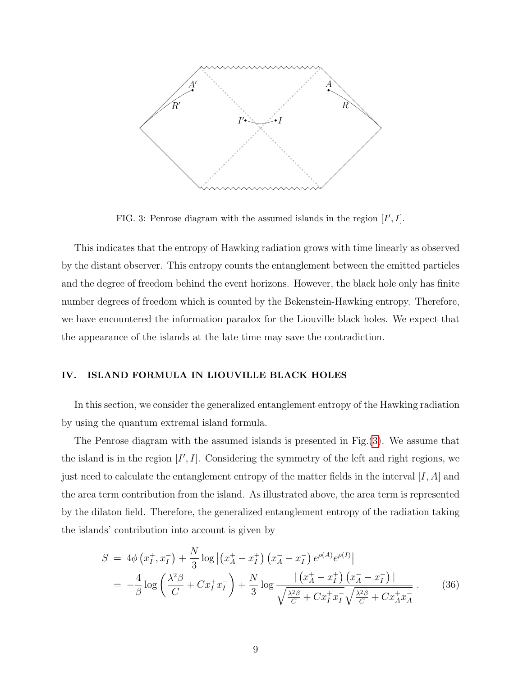

<span id="page-8-0"></span>FIG. 3: Penrose diagram with the assumed islands in the region  $[I', I]$ .

This indicates that the entropy of Hawking radiation grows with time linearly as observed by the distant observer. This entropy counts the entanglement between the emitted particles and the degree of freedom behind the event horizons. However, the black hole only has finite number degrees of freedom which is counted by the Bekenstein-Hawking entropy. Therefore, we have encountered the information paradox for the Liouville black holes. We expect that the appearance of the islands at the late time may save the contradiction.

# IV. ISLAND FORMULA IN LIOUVILLE BLACK HOLES

In this section, we consider the generalized entanglement entropy of the Hawking radiation by using the quantum extremal island formula.

The Penrose diagram with the assumed islands is presented in Fig.[\(3\)](#page-8-0). We assume that the island is in the region  $[I', I]$ . Considering the symmetry of the left and right regions, we just need to calculate the entanglement entropy of the matter fields in the interval  $[I, A]$  and the area term contribution from the island. As illustrated above, the area term is represented by the dilaton field. Therefore, the generalized entanglement entropy of the radiation taking the islands' contribution into account is given by

<span id="page-8-1"></span>
$$
S = 4\phi \left( x_I^+, x_I^- \right) + \frac{N}{3} \log \left| \left( x_A^+ - x_I^+ \right) \left( x_A^- - x_I^- \right) e^{\rho(A)} e^{\rho(I)} \right|
$$
  
= 
$$
-\frac{4}{\beta} \log \left( \frac{\lambda^2 \beta}{C} + C x_I^+ x_I^- \right) + \frac{N}{3} \log \frac{\left| \left( x_A^+ - x_I^+ \right) \left( x_A^- - x_I^- \right) \right|}{\sqrt{\frac{\lambda^2 \beta}{C} + C x_I^+ x_I^-} \sqrt{\frac{\lambda^2 \beta}{C} + C x_A^+ x_A^-}} \,. \tag{36}
$$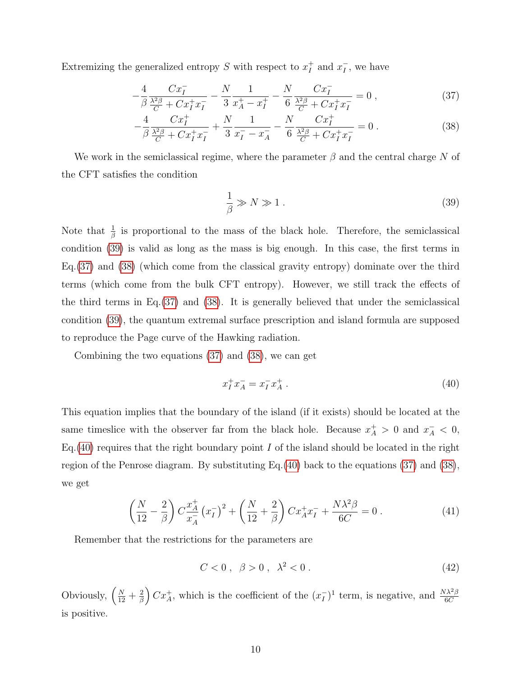Extremizing the generalized entropy S with respect to  $x_t^+$  $I$ <sub>I</sub> and  $x_I^ I$ , we have

<span id="page-9-1"></span>
$$
-\frac{4}{\beta} \frac{Cx_I^-}{\frac{\lambda^2 \beta}{C} + Cx_I^+ x_I^-} - \frac{N}{3} \frac{1}{x_A^+ - x_I^+} - \frac{N}{6} \frac{Cx_I^-}{\frac{\lambda^2 \beta}{C} + Cx_I^+ x_I^-} = 0 ,\qquad (37)
$$

$$
-\frac{4}{\beta} \frac{Cx_I^+}{\frac{\lambda^2 \beta}{C} + C x_I^+ x_I^-} + \frac{N}{3} \frac{1}{x_I^- - x_A^-} - \frac{N}{6} \frac{Cx_I^+}{\frac{\lambda^2 \beta}{C} + C x_I^+ x_I^-} = 0.
$$
 (38)

We work in the semiclassical regime, where the parameter  $\beta$  and the central charge N of the CFT satisfies the condition

<span id="page-9-0"></span>
$$
\frac{1}{\beta} \gg N \gg 1 \,. \tag{39}
$$

Note that  $\frac{1}{\beta}$  is proportional to the mass of the black hole. Therefore, the semiclassical condition [\(39\)](#page-9-0) is valid as long as the mass is big enough. In this case, the first terms in Eq.[\(37\)](#page-9-1) and [\(38\)](#page-9-1) (which come from the classical gravity entropy) dominate over the third terms (which come from the bulk CFT entropy). However, we still track the effects of the third terms in Eq.[\(37\)](#page-9-1) and [\(38\)](#page-9-1). It is generally believed that under the semiclassical condition [\(39\)](#page-9-0), the quantum extremal surface prescription and island formula are supposed to reproduce the Page curve of the Hawking radiation.

Combining the two equations [\(37\)](#page-9-1) and [\(38\)](#page-9-1), we can get

<span id="page-9-2"></span>
$$
x_I^+ x_A^- = x_I^- x_A^+ \ . \tag{40}
$$

This equation implies that the boundary of the island (if it exists) should be located at the same timeslice with the observer far from the black hole. Because  $x_A^+ > 0$  and  $x_A^- < 0$ , Eq.  $(40)$  requires that the right boundary point I of the island should be located in the right region of the Penrose diagram. By substituting Eq.[\(40\)](#page-9-2) back to the equations [\(37\)](#page-9-1) and [\(38\)](#page-9-1), we get

<span id="page-9-3"></span>
$$
\left(\frac{N}{12} - \frac{2}{\beta}\right) C \frac{x_A^+}{x_A^-} \left(x_I^-\right)^2 + \left(\frac{N}{12} + \frac{2}{\beta}\right) C x_A^+ x_I^- + \frac{N\lambda^2 \beta}{6C} = 0 \,. \tag{41}
$$

Remember that the restrictions for the parameters are

 $C < 0$ ,  $\beta > 0$ ,  $\lambda^2 < 0$ . (42)

Obviously,  $\left(\frac{N}{12} + \frac{2}{\beta}\right)$  $\left(\frac{2}{\beta}\right) C x_A^+$ , which is the coefficient of the  $(x_I^-)$  $\binom{1}{I}$ <sup>1</sup> term, is negative, and  $\frac{N\lambda^2\beta}{6C}$ is positive.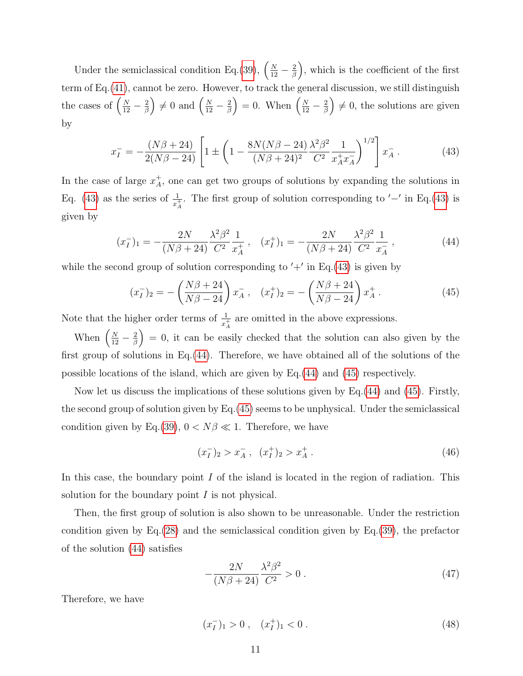Under the semiclassical condition Eq.[\(39\)](#page-9-0),  $\left(\frac{N}{12} - \frac{2}{\beta}\right)$  $\left(\frac{2}{\beta}\right)$ , which is the coefficient of the first term of Eq.[\(41\)](#page-9-3), cannot be zero. However, to track the general discussion, we still distinguish the cases of  $\left(\frac{N}{12} - \frac{2}{\beta}\right)$  $\left(\frac{2}{\beta}\right) \neq 0$  and  $\left(\frac{N}{12} - \frac{2}{\beta}\right)$  $\left(\frac{2}{\beta}\right) = 0$ . When  $\left(\frac{N}{12} - \frac{2}{\beta}\right)$  $\left(\frac{2}{\beta}\right) \neq 0$ , the solutions are given by

<span id="page-10-0"></span>
$$
x_I^- = -\frac{(N\beta + 24)}{2(N\beta - 24)} \left[ 1 \pm \left( 1 - \frac{8N(N\beta - 24)}{(N\beta + 24)^2} \frac{\lambda^2 \beta^2}{C^2} \frac{1}{x_A^+ x_A^-} \right)^{1/2} \right] x_A^- \,. \tag{43}
$$

In the case of large  $x_A^+$  $A<sub>A</sub>$ , one can get two groups of solutions by expanding the solutions in Eq. [\(43\)](#page-10-0) as the series of  $\frac{1}{x^+_A}$ . The first group of solution corresponding to  $-\prime$  in Eq.(43) is given by

<span id="page-10-1"></span>
$$
(x_I^-)_1 = -\frac{2N}{(N\beta + 24)} \frac{\lambda^2 \beta^2}{C^2} \frac{1}{x_A^+} \,, \quad (x_I^+)_1 = -\frac{2N}{(N\beta + 24)} \frac{\lambda^2 \beta^2}{C^2} \frac{1}{x_A^-} \,, \tag{44}
$$

while the second group of solution corresponding to  $'+'$  in Eq.[\(43\)](#page-10-0) is given by

<span id="page-10-2"></span>
$$
(x_I^-)_2 = -\left(\frac{N\beta + 24}{N\beta - 24}\right)x_A^-, \quad (x_I^+)_2 = -\left(\frac{N\beta + 24}{N\beta - 24}\right)x_A^+ \,. \tag{45}
$$

Note that the higher order terms of  $\frac{1}{x_A^+}$  are omitted in the above expressions.

When  $\left(\frac{N}{12} - \frac{2}{\beta}\right)$  $\left(\frac{2}{\beta}\right) = 0$ , it can be easily checked that the solution can also given by the first group of solutions in Eq.[\(44\)](#page-10-1). Therefore, we have obtained all of the solutions of the possible locations of the island, which are given by Eq.[\(44\)](#page-10-1) and [\(45\)](#page-10-2) respectively.

Now let us discuss the implications of these solutions given by Eq.[\(44\)](#page-10-1) and [\(45\)](#page-10-2). Firstly, the second group of solution given by Eq.[\(45\)](#page-10-2) seems to be unphysical. Under the semiclassical condition given by Eq.[\(39\)](#page-9-0),  $0 < N\beta \ll 1$ . Therefore, we have

$$
(x_I^-)_2 > x_A^- , \quad (x_I^+)_2 > x_A^+ . \tag{46}
$$

In this case, the boundary point  $I$  of the island is located in the region of radiation. This solution for the boundary point  $I$  is not physical.

Then, the first group of solution is also shown to be unreasonable. Under the restriction condition given by Eq.[\(28\)](#page-6-1) and the semiclassical condition given by Eq.[\(39\)](#page-9-0), the prefactor of the solution [\(44\)](#page-10-1) satisfies

$$
-\frac{2N}{(N\beta + 24)}\frac{\lambda^2 \beta^2}{C^2} > 0.
$$
\n(47)

Therefore, we have

$$
(x_I^-)_1 > 0 \;, \quad (x_I^+)_1 < 0 \; . \tag{48}
$$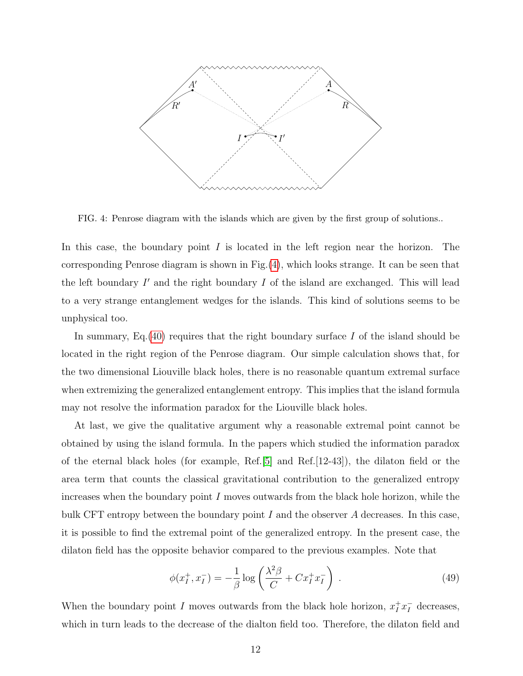

<span id="page-11-0"></span>FIG. 4: Penrose diagram with the islands which are given by the first group of solutions..

In this case, the boundary point  $I$  is located in the left region near the horizon. The corresponding Penrose diagram is shown in Fig.[\(4\)](#page-11-0), which looks strange. It can be seen that the left boundary  $I'$  and the right boundary  $I$  of the island are exchanged. This will lead to a very strange entanglement wedges for the islands. This kind of solutions seems to be unphysical too.

In summary, Eq.  $(40)$  requires that the right boundary surface I of the island should be located in the right region of the Penrose diagram. Our simple calculation shows that, for the two dimensional Liouville black holes, there is no reasonable quantum extremal surface when extremizing the generalized entanglement entropy. This implies that the island formula may not resolve the information paradox for the Liouville black holes.

At last, we give the qualitative argument why a reasonable extremal point cannot be obtained by using the island formula. In the papers which studied the information paradox of the eternal black holes (for example, Ref.[\[5\]](#page-13-2) and Ref.[12-43]), the dilaton field or the area term that counts the classical gravitational contribution to the generalized entropy increases when the boundary point  $I$  moves outwards from the black hole horizon, while the bulk CFT entropy between the boundary point  $I$  and the observer  $A$  decreases. In this case, it is possible to find the extremal point of the generalized entropy. In the present case, the dilaton field has the opposite behavior compared to the previous examples. Note that

$$
\phi(x_I^+, x_I^-) = -\frac{1}{\beta} \log \left( \frac{\lambda^2 \beta}{C} + C x_I^+ x_I^- \right) \,. \tag{49}
$$

When the boundary point I moves outwards from the black hole horizon,  $x_I^+ x_I^-$  decreases, which in turn leads to the decrease of the dialton field too. Therefore, the dilaton field and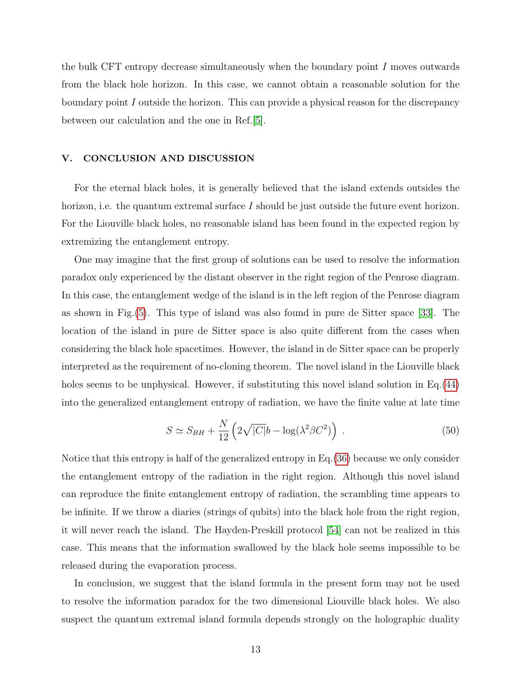the bulk CFT entropy decrease simultaneously when the boundary point I moves outwards from the black hole horizon. In this case, we cannot obtain a reasonable solution for the boundary point  $I$  outside the horizon. This can provide a physical reason for the discrepancy between our calculation and the one in Ref.[\[5\]](#page-13-2).

#### V. CONCLUSION AND DISCUSSION

For the eternal black holes, it is generally believed that the island extends outsides the horizon, i.e. the quantum extremal surface I should be just outside the future event horizon. For the Liouville black holes, no reasonable island has been found in the expected region by extremizing the entanglement entropy.

One may imagine that the first group of solutions can be used to resolve the information paradox only experienced by the distant observer in the right region of the Penrose diagram. In this case, the entanglement wedge of the island is in the left region of the Penrose diagram as shown in Fig.[\(5\)](#page-13-7). This type of island was also found in pure de Sitter space [\[33\]](#page-15-8). The location of the island in pure de Sitter space is also quite different from the cases when considering the black hole spacetimes. However, the island in de Sitter space can be properly interpreted as the requirement of no-cloning theorem. The novel island in the Liouville black holes seems to be unphysical. However, if substituting this novel island solution in Eq. [\(44\)](#page-10-1) into the generalized entanglement entropy of radiation, we have the finite value at late time

$$
S \simeq S_{BH} + \frac{N}{12} \left( 2\sqrt{|C|}b - \log(\lambda^2 \beta C^2) \right) . \tag{50}
$$

Notice that this entropy is half of the generalized entropy in Eq.[\(36\)](#page-8-1) because we only consider the entanglement entropy of the radiation in the right region. Although this novel island can reproduce the finite entanglement entropy of radiation, the scrambling time appears to be infinite. If we throw a diaries (strings of qubits) into the black hole from the right region, it will never reach the island. The Hayden-Preskill protocol [\[54\]](#page-15-9) can not be realized in this case. This means that the information swallowed by the black hole seems impossible to be released during the evaporation process.

In conclusion, we suggest that the island formula in the present form may not be used to resolve the information paradox for the two dimensional Liouville black holes. We also suspect the quantum extremal island formula depends strongly on the holographic duality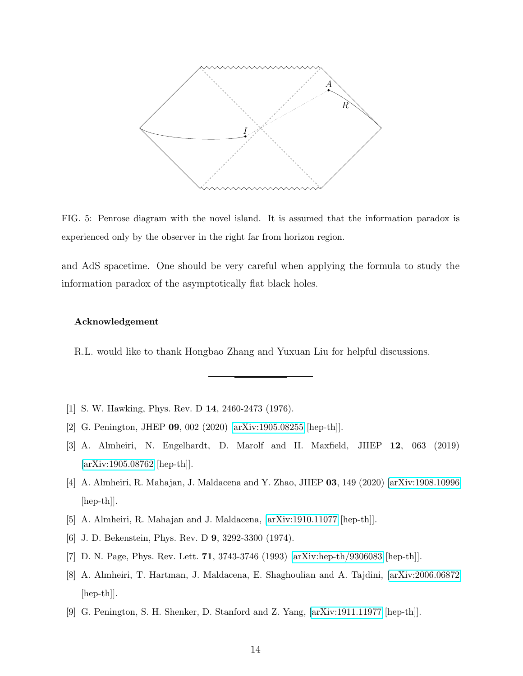

<span id="page-13-7"></span>FIG. 5: Penrose diagram with the novel island. It is assumed that the information paradox is experienced only by the observer in the right far from horizon region.

and AdS spacetime. One should be very careful when applying the formula to study the information paradox of the asymptotically flat black holes.

#### Acknowledgement

R.L. would like to thank Hongbao Zhang and Yuxuan Liu for helpful discussions.

- <span id="page-13-1"></span><span id="page-13-0"></span>[1] S. W. Hawking, Phys. Rev. D 14, 2460-2473 (1976).
- [2] G. Penington, JHEP 09, 002 (2020) [\[arXiv:1905.08255](http://arxiv.org/abs/1905.08255) [hep-th]].
- [3] A. Almheiri, N. Engelhardt, D. Marolf and H. Maxfield, JHEP 12, 063 (2019) [\[arXiv:1905.08762](http://arxiv.org/abs/1905.08762) [hep-th]].
- [4] A. Almheiri, R. Mahajan, J. Maldacena and Y. Zhao, JHEP 03, 149 (2020) [\[arXiv:1908.10996](http://arxiv.org/abs/1908.10996) [hep-th]].
- <span id="page-13-3"></span><span id="page-13-2"></span>[5] A. Almheiri, R. Mahajan and J. Maldacena, [\[arXiv:1910.11077](http://arxiv.org/abs/1910.11077) [hep-th]].
- <span id="page-13-4"></span>[6] J. D. Bekenstein, Phys. Rev. D 9, 3292-3300 (1974).
- <span id="page-13-5"></span>[7] D. N. Page, Phys. Rev. Lett. 71, 3743-3746 (1993) [\[arXiv:hep-th/9306083](http://arxiv.org/abs/hep-th/9306083) [hep-th]].
- [8] A. Almheiri, T. Hartman, J. Maldacena, E. Shaghoulian and A. Tajdini, [\[arXiv:2006.06872](http://arxiv.org/abs/2006.06872) [hep-th]].
- <span id="page-13-6"></span>[9] G. Penington, S. H. Shenker, D. Stanford and Z. Yang, [\[arXiv:1911.11977](http://arxiv.org/abs/1911.11977) [hep-th]].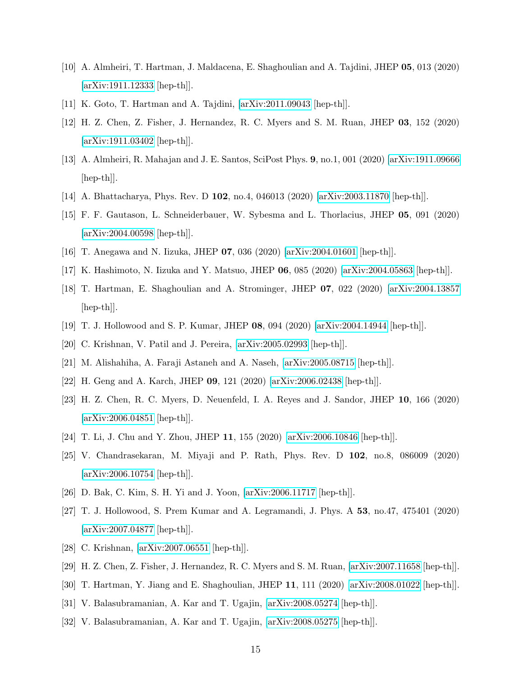- [10] A. Almheiri, T. Hartman, J. Maldacena, E. Shaghoulian and A. Tajdini, JHEP 05, 013 (2020) [\[arXiv:1911.12333](http://arxiv.org/abs/1911.12333) [hep-th]].
- <span id="page-14-0"></span>[11] K. Goto, T. Hartman and A. Tajdini, [\[arXiv:2011.09043](http://arxiv.org/abs/2011.09043) [hep-th]].
- [12] H. Z. Chen, Z. Fisher, J. Hernandez, R. C. Myers and S. M. Ruan, JHEP 03, 152 (2020) [\[arXiv:1911.03402](http://arxiv.org/abs/1911.03402) [hep-th]].
- [13] A. Almheiri, R. Mahajan and J. E. Santos, SciPost Phys. 9, no.1, 001 (2020) [\[arXiv:1911.09666](http://arxiv.org/abs/1911.09666) [hep-th]].
- [14] A. Bhattacharya, Phys. Rev. D 102, no.4, 046013 (2020) [\[arXiv:2003.11870](http://arxiv.org/abs/2003.11870) [hep-th]].
- [15] F. F. Gautason, L. Schneiderbauer, W. Sybesma and L. Thorlacius, JHEP 05, 091 (2020) [\[arXiv:2004.00598](http://arxiv.org/abs/2004.00598) [hep-th]].
- [16] T. Anegawa and N. Iizuka, JHEP 07, 036 (2020) [\[arXiv:2004.01601](http://arxiv.org/abs/2004.01601) [hep-th]].
- [17] K. Hashimoto, N. Iizuka and Y. Matsuo, JHEP 06, 085 (2020) [\[arXiv:2004.05863](http://arxiv.org/abs/2004.05863) [hep-th]].
- [18] T. Hartman, E. Shaghoulian and A. Strominger, JHEP 07, 022 (2020) [\[arXiv:2004.13857](http://arxiv.org/abs/2004.13857) [hep-th]].
- [19] T. J. Hollowood and S. P. Kumar, JHEP 08, 094 (2020) [\[arXiv:2004.14944](http://arxiv.org/abs/2004.14944) [hep-th]].
- [20] C. Krishnan, V. Patil and J. Pereira, [\[arXiv:2005.02993](http://arxiv.org/abs/2005.02993) [hep-th]].
- [21] M. Alishahiha, A. Faraji Astaneh and A. Naseh, [\[arXiv:2005.08715](http://arxiv.org/abs/2005.08715) [hep-th]].
- [22] H. Geng and A. Karch, JHEP 09, 121 (2020) [\[arXiv:2006.02438](http://arxiv.org/abs/2006.02438) [hep-th]].
- [23] H. Z. Chen, R. C. Myers, D. Neuenfeld, I. A. Reyes and J. Sandor, JHEP 10, 166 (2020) [\[arXiv:2006.04851](http://arxiv.org/abs/2006.04851) [hep-th]].
- [24] T. Li, J. Chu and Y. Zhou, JHEP 11, 155 (2020) [\[arXiv:2006.10846](http://arxiv.org/abs/2006.10846) [hep-th]].
- [25] V. Chandrasekaran, M. Miyaji and P. Rath, Phys. Rev. D 102, no.8, 086009 (2020) [\[arXiv:2006.10754](http://arxiv.org/abs/2006.10754) [hep-th]].
- [26] D. Bak, C. Kim, S. H. Yi and J. Yoon, [\[arXiv:2006.11717](http://arxiv.org/abs/2006.11717) [hep-th]].
- [27] T. J. Hollowood, S. Prem Kumar and A. Legramandi, J. Phys. A 53, no.47, 475401 (2020) [\[arXiv:2007.04877](http://arxiv.org/abs/2007.04877) [hep-th]].
- [28] C. Krishnan, [\[arXiv:2007.06551](http://arxiv.org/abs/2007.06551) [hep-th]].
- [29] H. Z. Chen, Z. Fisher, J. Hernandez, R. C. Myers and S. M. Ruan, [\[arXiv:2007.11658](http://arxiv.org/abs/2007.11658) [hep-th]].
- [30] T. Hartman, Y. Jiang and E. Shaghoulian, JHEP 11, 111 (2020) [\[arXiv:2008.01022](http://arxiv.org/abs/2008.01022) [hep-th]].
- [31] V. Balasubramanian, A. Kar and T. Ugajin, [\[arXiv:2008.05274](http://arxiv.org/abs/2008.05274) [hep-th]].
- [32] V. Balasubramanian, A. Kar and T. Ugajin, [\[arXiv:2008.05275](http://arxiv.org/abs/2008.05275) [hep-th]].